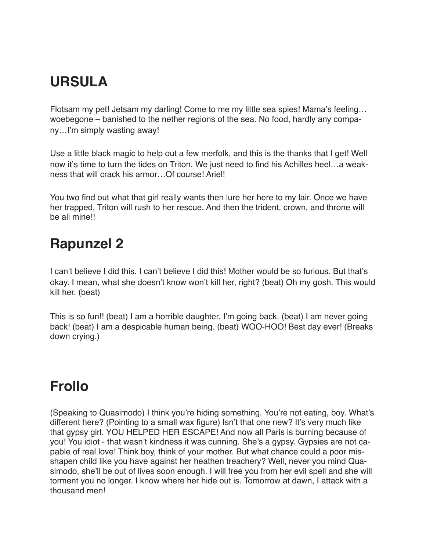## **URSULA**

Flotsam my pet! Jetsam my darling! Come to me my little sea spies! Mama's feeling... woebegone – banished to the nether regions of the sea. No food, hardly any company...I'm simply wasting away!

Use a little black magic to help out a few merfolk, and this is the thanks that I get! Well now it's time to turn the tides on Triton. We just need to find his Achilles heel...a weakness that will crack his armor…Of course! Ariel!

You two find out what that girl really wants then lure her here to my lair. Once we have her trapped, Triton will rush to her rescue. And then the trident, crown, and throne will be all mine!!

## **Rapunzel 2**

I can't believe I did this. I can't believe I did this! Mother would be so furious. But that's okay. I mean, what she doesn't know won't kill her, right? (beat) Oh my gosh. This would kill her. (beat)

This is so fun!! (beat) I am a horrible daughter. I'm going back. (beat) I am never going back! (beat) I am a despicable human being. (beat) WOO-HOO! Best day ever! (Breaks down crying.)

## **Frollo**

(Speaking to Quasimodo) I think you're hiding something. You're not eating, boy. What's different here? (Pointing to a small wax figure) Isn't that one new? It's very much like that gypsy girl. YOU HELPED HER ESCAPE! And now all Paris is burning because of you! You idiot - that wasn't kindness it was cunning. She's a gypsy. Gypsies are not capable of real love! Think boy, think of your mother. But what chance could a poor misshapen child like you have against her heathen treachery? Well, never you mind Quasimodo, she'll be out of lives soon enough. I will free you from her evil spell and she will torment you no longer. I know where her hide out is. Tomorrow at dawn, I attack with a thousand men!